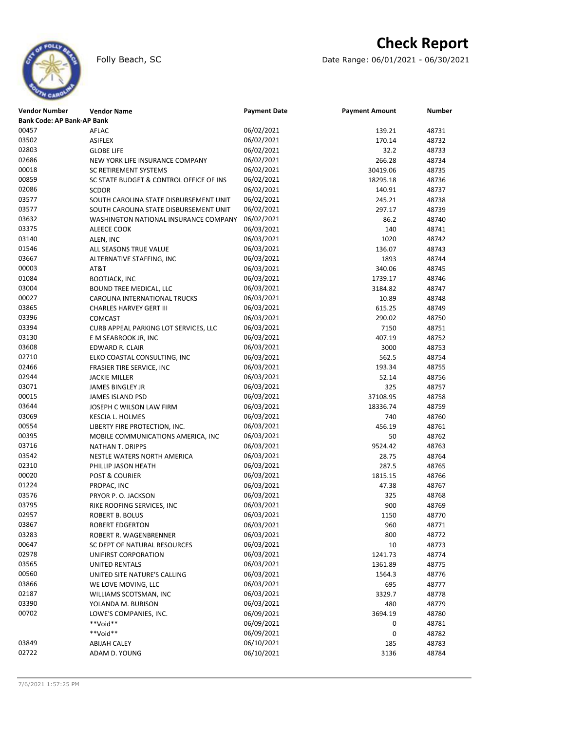

# **Check Report**

Folly Beach, SC **Date Range: 06/01/2021 - 06/30/2021** 

| <b>Vendor Number</b>              | <b>Vendor Name</b>                      | <b>Payment Date</b> | <b>Payment Amount</b> | <b>Number</b> |
|-----------------------------------|-----------------------------------------|---------------------|-----------------------|---------------|
| <b>Bank Code: AP Bank-AP Bank</b> |                                         |                     |                       |               |
| 00457                             | <b>AFLAC</b>                            | 06/02/2021          | 139.21                | 48731         |
| 03502                             | <b>ASIFLEX</b>                          | 06/02/2021          | 170.14                | 48732         |
| 02803                             | <b>GLOBE LIFE</b>                       | 06/02/2021          | 32.2                  | 48733         |
| 02686                             | NEW YORK LIFE INSURANCE COMPANY         | 06/02/2021          | 266.28                | 48734         |
| 00018                             | SC RETIREMENT SYSTEMS                   | 06/02/2021          | 30419.06              | 48735         |
| 00859                             | SC STATE BUDGET & CONTROL OFFICE OF INS | 06/02/2021          | 18295.18              | 48736         |
| 02086                             | <b>SCDOR</b>                            | 06/02/2021          | 140.91                | 48737         |
| 03577                             | SOUTH CAROLINA STATE DISBURSEMENT UNIT  | 06/02/2021          | 245.21                | 48738         |
| 03577                             | SOUTH CAROLINA STATE DISBURSEMENT UNIT  | 06/02/2021          | 297.17                | 48739         |
| 03632                             | WASHINGTON NATIONAL INSURANCE COMPANY   | 06/02/2021          | 86.2                  | 48740         |
| 03375                             | ALEECE COOK                             | 06/03/2021          | 140                   | 48741         |
| 03140                             | ALEN, INC                               | 06/03/2021          | 1020                  | 48742         |
| 01546                             | ALL SEASONS TRUE VALUE                  | 06/03/2021          | 136.07                | 48743         |
| 03667                             | ALTERNATIVE STAFFING, INC               | 06/03/2021          | 1893                  | 48744         |
| 00003                             | AT&T                                    | 06/03/2021          | 340.06                | 48745         |
| 01084                             | <b>BOOTJACK, INC</b>                    | 06/03/2021          | 1739.17               | 48746         |
| 03004                             | BOUND TREE MEDICAL, LLC                 | 06/03/2021          | 3184.82               | 48747         |
| 00027                             |                                         | 06/03/2021          | 10.89                 | 48748         |
| 03865                             | CAROLINA INTERNATIONAL TRUCKS           | 06/03/2021          |                       |               |
| 03396                             | <b>CHARLES HARVEY GERT III</b>          | 06/03/2021          | 615.25                | 48749         |
| 03394                             | <b>COMCAST</b>                          |                     | 290.02                | 48750         |
|                                   | CURB APPEAL PARKING LOT SERVICES, LLC   | 06/03/2021          | 7150                  | 48751         |
| 03130                             | E M SEABROOK JR, INC                    | 06/03/2021          | 407.19                | 48752         |
| 03608                             | EDWARD R. CLAIR                         | 06/03/2021          | 3000                  | 48753         |
| 02710                             | ELKO COASTAL CONSULTING, INC            | 06/03/2021          | 562.5                 | 48754         |
| 02466                             | <b>FRASIER TIRE SERVICE, INC</b>        | 06/03/2021          | 193.34                | 48755         |
| 02944                             | <b>JACKIE MILLER</b>                    | 06/03/2021          | 52.14                 | 48756         |
| 03071                             | <b>JAMES BINGLEY JR</b>                 | 06/03/2021          | 325                   | 48757         |
| 00015                             | JAMES ISLAND PSD                        | 06/03/2021          | 37108.95              | 48758         |
| 03644                             | JOSEPH C WILSON LAW FIRM                | 06/03/2021          | 18336.74              | 48759         |
| 03069                             | KESCIA L. HOLMES                        | 06/03/2021          | 740                   | 48760         |
| 00554                             | LIBERTY FIRE PROTECTION, INC.           | 06/03/2021          | 456.19                | 48761         |
| 00395                             | MOBILE COMMUNICATIONS AMERICA, INC      | 06/03/2021          | 50                    | 48762         |
| 03716                             | NATHAN T. DRIPPS                        | 06/03/2021          | 9524.42               | 48763         |
| 03542                             | NESTLE WATERS NORTH AMERICA             | 06/03/2021          | 28.75                 | 48764         |
| 02310                             | PHILLIP JASON HEATH                     | 06/03/2021          | 287.5                 | 48765         |
| 00020                             | POST & COURIER                          | 06/03/2021          | 1815.15               | 48766         |
| 01224                             | PROPAC, INC                             | 06/03/2021          | 47.38                 | 48767         |
| 03576                             | PRYOR P.O. JACKSON                      | 06/03/2021          | 325                   | 48768         |
| 03795                             | RIKE ROOFING SERVICES, INC              | 06/03/2021          | 900                   | 48769         |
| 02957                             | <b>ROBERT B. BOLUS</b>                  | 06/03/2021          | 1150                  | 48770         |
| 03867                             | <b>ROBERT EDGERTON</b>                  | 06/03/2021          | 960                   | 48771         |
| 03283                             | ROBERT R. WAGENBRENNER                  | 06/03/2021          | 800                   | 48772         |
| 00647                             | SC DEPT OF NATURAL RESOURCES            | 06/03/2021          | 10                    | 48773         |
| 02978                             | UNIFIRST CORPORATION                    | 06/03/2021          | 1241.73               | 48774         |
| 03565                             | UNITED RENTALS                          | 06/03/2021          | 1361.89               | 48775         |
| 00560                             | UNITED SITE NATURE'S CALLING            | 06/03/2021          | 1564.3                | 48776         |
| 03866                             | WE LOVE MOVING, LLC                     | 06/03/2021          | 695                   | 48777         |
| 02187                             | WILLIAMS SCOTSMAN, INC                  | 06/03/2021          | 3329.7                | 48778         |
| 03390                             | YOLANDA M. BURISON                      | 06/03/2021          | 480                   | 48779         |
| 00702                             | LOWE'S COMPANIES, INC.                  | 06/09/2021          | 3694.19               | 48780         |
|                                   | **Void**                                | 06/09/2021          | 0                     | 48781         |
|                                   | **Void**                                | 06/09/2021          | 0                     | 48782         |
| 03849                             | <b>ABIJAH CALEY</b>                     | 06/10/2021          | 185                   | 48783         |
| 02722                             | ADAM D. YOUNG                           | 06/10/2021          | 3136                  | 48784         |
|                                   |                                         |                     |                       |               |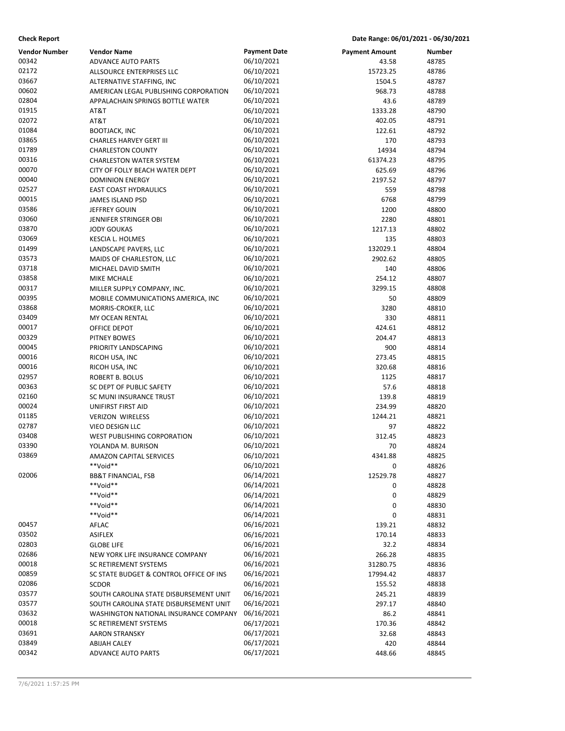**Check Report Date Range: 06/01/2021 - 06/30/2021**

| <b>Vendor Number</b><br><b>Payment Date</b><br>Vendor Name<br><b>Payment Amount</b><br>Number<br>00342<br>06/10/2021<br>43.58<br>48785<br><b>ADVANCE AUTO PARTS</b><br>02172<br>06/10/2021<br>15723.25<br>48786<br>ALLSOURCE ENTERPRISES LLC<br>03667<br>06/10/2021<br>1504.5<br>48787<br>ALTERNATIVE STAFFING, INC<br>00602<br>06/10/2021<br>AMERICAN LEGAL PUBLISHING CORPORATION<br>968.73<br>48788<br>02804<br>06/10/2021<br>43.6<br>48789<br>APPALACHAIN SPRINGS BOTTLE WATER<br>01915<br>06/10/2021<br>AT&T<br>1333.28<br>48790<br>02072<br>AT&T<br>06/10/2021<br>402.05<br>48791<br>01084<br>06/10/2021<br><b>BOOTJACK, INC</b><br>122.61<br>48792<br>03865<br>06/10/2021<br>CHARLES HARVEY GERT III<br>170<br>48793<br>01789<br>06/10/2021<br><b>CHARLESTON COUNTY</b><br>14934<br>48794<br>00316<br>06/10/2021<br>61374.23<br>48795<br><b>CHARLESTON WATER SYSTEM</b><br>00070<br>06/10/2021<br>CITY OF FOLLY BEACH WATER DEPT<br>625.69<br>48796<br>00040<br>06/10/2021<br>2197.52<br>48797<br><b>DOMINION ENERGY</b><br>02527<br>06/10/2021<br><b>EAST COAST HYDRAULICS</b><br>559<br>48798<br>00015<br>06/10/2021<br>JAMES ISLAND PSD<br>6768<br>48799<br>03586<br>06/10/2021<br>JEFFREY GOUIN<br>1200<br>48800<br>03060<br>06/10/2021<br>2280<br>48801<br>JENNIFER STRINGER OBI<br>03870<br>06/10/2021<br>1217.13<br>48802<br><b>JODY GOUKAS</b><br>03069<br>06/10/2021<br>135<br>48803<br>KESCIA L. HOLMES<br>01499<br>06/10/2021<br>132029.1<br>48804<br>LANDSCAPE PAVERS, LLC<br>03573<br>06/10/2021<br>2902.62<br>48805<br>MAIDS OF CHARLESTON, LLC<br>03718<br>06/10/2021<br>140<br>48806<br>MICHAEL DAVID SMITH<br>03858<br>06/10/2021<br>MIKE MCHALE<br>254.12<br>48807<br>00317<br>06/10/2021<br>3299.15<br>48808<br>MILLER SUPPLY COMPANY, INC.<br>00395<br>06/10/2021<br>50<br>48809<br>MOBILE COMMUNICATIONS AMERICA, INC<br>03868<br>06/10/2021<br>3280<br>48810<br>MORRIS-CROKER, LLC<br>03409<br>06/10/2021<br>330<br>48811<br>MY OCEAN RENTAL<br>00017<br>06/10/2021<br>424.61<br>48812<br>OFFICE DEPOT<br>00329<br>06/10/2021<br>PITNEY BOWES<br>204.47<br>48813<br>00045<br>06/10/2021<br>900<br>48814<br>PRIORITY LANDSCAPING<br>00016<br>06/10/2021<br>273.45<br>48815<br>RICOH USA, INC<br>00016<br>06/10/2021<br>320.68<br>48816<br>RICOH USA, INC<br>02957<br>06/10/2021<br>1125<br>48817<br>ROBERT B. BOLUS<br>00363<br>06/10/2021<br>57.6<br>48818<br>SC DEPT OF PUBLIC SAFETY<br>02160<br>06/10/2021<br>139.8<br>48819<br>SC MUNI INSURANCE TRUST<br>00024<br>06/10/2021<br>234.99<br>48820<br>UNIFIRST FIRST AID<br>01185<br>06/10/2021<br>1244.21<br>48821<br><b>VERIZON WIRELESS</b><br>02787<br>06/10/2021<br>97<br>48822<br>VIEO DESIGN LLC<br>03408<br>06/10/2021<br><b>WEST PUBLISHING CORPORATION</b><br>312.45<br>48823<br>03390<br>06/10/2021<br>70<br>48824<br>YOLANDA M. BURISON<br>03869<br>06/10/2021<br>4341.88<br>48825<br><b>AMAZON CAPITAL SERVICES</b><br>**Void**<br>06/10/2021<br>0<br>48826<br>02006<br>06/14/2021<br>12529.78<br>48827<br><b>BB&amp;T FINANCIAL, FSB</b><br>**Void**<br>06/14/2021<br>0<br>48828<br>**Void**<br>06/14/2021<br>0<br>48829<br>**Void**<br>06/14/2021<br>0<br>48830<br>06/14/2021<br>**Void**<br>0<br>48831<br>06/16/2021<br>00457<br>139.21<br>48832<br>AFLAC<br>03502<br>06/16/2021<br><b>ASIFLEX</b><br>170.14<br>48833 |
|----------------------------------------------------------------------------------------------------------------------------------------------------------------------------------------------------------------------------------------------------------------------------------------------------------------------------------------------------------------------------------------------------------------------------------------------------------------------------------------------------------------------------------------------------------------------------------------------------------------------------------------------------------------------------------------------------------------------------------------------------------------------------------------------------------------------------------------------------------------------------------------------------------------------------------------------------------------------------------------------------------------------------------------------------------------------------------------------------------------------------------------------------------------------------------------------------------------------------------------------------------------------------------------------------------------------------------------------------------------------------------------------------------------------------------------------------------------------------------------------------------------------------------------------------------------------------------------------------------------------------------------------------------------------------------------------------------------------------------------------------------------------------------------------------------------------------------------------------------------------------------------------------------------------------------------------------------------------------------------------------------------------------------------------------------------------------------------------------------------------------------------------------------------------------------------------------------------------------------------------------------------------------------------------------------------------------------------------------------------------------------------------------------------------------------------------------------------------------------------------------------------------------------------------------------------------------------------------------------------------------------------------------------------------------------------------------------------------------------------------------------------------------------------------------------------------------------------------------------------------------------------------------------------------------------------------------------------------------------------------------------------------------------------------------------------------------------------------------------------------------------------------------------------------------------------------------------------------------------------------------------------------------------------------------------------------|
|                                                                                                                                                                                                                                                                                                                                                                                                                                                                                                                                                                                                                                                                                                                                                                                                                                                                                                                                                                                                                                                                                                                                                                                                                                                                                                                                                                                                                                                                                                                                                                                                                                                                                                                                                                                                                                                                                                                                                                                                                                                                                                                                                                                                                                                                                                                                                                                                                                                                                                                                                                                                                                                                                                                                                                                                                                                                                                                                                                                                                                                                                                                                                                                                                                                                                                                      |
|                                                                                                                                                                                                                                                                                                                                                                                                                                                                                                                                                                                                                                                                                                                                                                                                                                                                                                                                                                                                                                                                                                                                                                                                                                                                                                                                                                                                                                                                                                                                                                                                                                                                                                                                                                                                                                                                                                                                                                                                                                                                                                                                                                                                                                                                                                                                                                                                                                                                                                                                                                                                                                                                                                                                                                                                                                                                                                                                                                                                                                                                                                                                                                                                                                                                                                                      |
|                                                                                                                                                                                                                                                                                                                                                                                                                                                                                                                                                                                                                                                                                                                                                                                                                                                                                                                                                                                                                                                                                                                                                                                                                                                                                                                                                                                                                                                                                                                                                                                                                                                                                                                                                                                                                                                                                                                                                                                                                                                                                                                                                                                                                                                                                                                                                                                                                                                                                                                                                                                                                                                                                                                                                                                                                                                                                                                                                                                                                                                                                                                                                                                                                                                                                                                      |
|                                                                                                                                                                                                                                                                                                                                                                                                                                                                                                                                                                                                                                                                                                                                                                                                                                                                                                                                                                                                                                                                                                                                                                                                                                                                                                                                                                                                                                                                                                                                                                                                                                                                                                                                                                                                                                                                                                                                                                                                                                                                                                                                                                                                                                                                                                                                                                                                                                                                                                                                                                                                                                                                                                                                                                                                                                                                                                                                                                                                                                                                                                                                                                                                                                                                                                                      |
|                                                                                                                                                                                                                                                                                                                                                                                                                                                                                                                                                                                                                                                                                                                                                                                                                                                                                                                                                                                                                                                                                                                                                                                                                                                                                                                                                                                                                                                                                                                                                                                                                                                                                                                                                                                                                                                                                                                                                                                                                                                                                                                                                                                                                                                                                                                                                                                                                                                                                                                                                                                                                                                                                                                                                                                                                                                                                                                                                                                                                                                                                                                                                                                                                                                                                                                      |
|                                                                                                                                                                                                                                                                                                                                                                                                                                                                                                                                                                                                                                                                                                                                                                                                                                                                                                                                                                                                                                                                                                                                                                                                                                                                                                                                                                                                                                                                                                                                                                                                                                                                                                                                                                                                                                                                                                                                                                                                                                                                                                                                                                                                                                                                                                                                                                                                                                                                                                                                                                                                                                                                                                                                                                                                                                                                                                                                                                                                                                                                                                                                                                                                                                                                                                                      |
|                                                                                                                                                                                                                                                                                                                                                                                                                                                                                                                                                                                                                                                                                                                                                                                                                                                                                                                                                                                                                                                                                                                                                                                                                                                                                                                                                                                                                                                                                                                                                                                                                                                                                                                                                                                                                                                                                                                                                                                                                                                                                                                                                                                                                                                                                                                                                                                                                                                                                                                                                                                                                                                                                                                                                                                                                                                                                                                                                                                                                                                                                                                                                                                                                                                                                                                      |
|                                                                                                                                                                                                                                                                                                                                                                                                                                                                                                                                                                                                                                                                                                                                                                                                                                                                                                                                                                                                                                                                                                                                                                                                                                                                                                                                                                                                                                                                                                                                                                                                                                                                                                                                                                                                                                                                                                                                                                                                                                                                                                                                                                                                                                                                                                                                                                                                                                                                                                                                                                                                                                                                                                                                                                                                                                                                                                                                                                                                                                                                                                                                                                                                                                                                                                                      |
|                                                                                                                                                                                                                                                                                                                                                                                                                                                                                                                                                                                                                                                                                                                                                                                                                                                                                                                                                                                                                                                                                                                                                                                                                                                                                                                                                                                                                                                                                                                                                                                                                                                                                                                                                                                                                                                                                                                                                                                                                                                                                                                                                                                                                                                                                                                                                                                                                                                                                                                                                                                                                                                                                                                                                                                                                                                                                                                                                                                                                                                                                                                                                                                                                                                                                                                      |
|                                                                                                                                                                                                                                                                                                                                                                                                                                                                                                                                                                                                                                                                                                                                                                                                                                                                                                                                                                                                                                                                                                                                                                                                                                                                                                                                                                                                                                                                                                                                                                                                                                                                                                                                                                                                                                                                                                                                                                                                                                                                                                                                                                                                                                                                                                                                                                                                                                                                                                                                                                                                                                                                                                                                                                                                                                                                                                                                                                                                                                                                                                                                                                                                                                                                                                                      |
|                                                                                                                                                                                                                                                                                                                                                                                                                                                                                                                                                                                                                                                                                                                                                                                                                                                                                                                                                                                                                                                                                                                                                                                                                                                                                                                                                                                                                                                                                                                                                                                                                                                                                                                                                                                                                                                                                                                                                                                                                                                                                                                                                                                                                                                                                                                                                                                                                                                                                                                                                                                                                                                                                                                                                                                                                                                                                                                                                                                                                                                                                                                                                                                                                                                                                                                      |
|                                                                                                                                                                                                                                                                                                                                                                                                                                                                                                                                                                                                                                                                                                                                                                                                                                                                                                                                                                                                                                                                                                                                                                                                                                                                                                                                                                                                                                                                                                                                                                                                                                                                                                                                                                                                                                                                                                                                                                                                                                                                                                                                                                                                                                                                                                                                                                                                                                                                                                                                                                                                                                                                                                                                                                                                                                                                                                                                                                                                                                                                                                                                                                                                                                                                                                                      |
|                                                                                                                                                                                                                                                                                                                                                                                                                                                                                                                                                                                                                                                                                                                                                                                                                                                                                                                                                                                                                                                                                                                                                                                                                                                                                                                                                                                                                                                                                                                                                                                                                                                                                                                                                                                                                                                                                                                                                                                                                                                                                                                                                                                                                                                                                                                                                                                                                                                                                                                                                                                                                                                                                                                                                                                                                                                                                                                                                                                                                                                                                                                                                                                                                                                                                                                      |
|                                                                                                                                                                                                                                                                                                                                                                                                                                                                                                                                                                                                                                                                                                                                                                                                                                                                                                                                                                                                                                                                                                                                                                                                                                                                                                                                                                                                                                                                                                                                                                                                                                                                                                                                                                                                                                                                                                                                                                                                                                                                                                                                                                                                                                                                                                                                                                                                                                                                                                                                                                                                                                                                                                                                                                                                                                                                                                                                                                                                                                                                                                                                                                                                                                                                                                                      |
|                                                                                                                                                                                                                                                                                                                                                                                                                                                                                                                                                                                                                                                                                                                                                                                                                                                                                                                                                                                                                                                                                                                                                                                                                                                                                                                                                                                                                                                                                                                                                                                                                                                                                                                                                                                                                                                                                                                                                                                                                                                                                                                                                                                                                                                                                                                                                                                                                                                                                                                                                                                                                                                                                                                                                                                                                                                                                                                                                                                                                                                                                                                                                                                                                                                                                                                      |
|                                                                                                                                                                                                                                                                                                                                                                                                                                                                                                                                                                                                                                                                                                                                                                                                                                                                                                                                                                                                                                                                                                                                                                                                                                                                                                                                                                                                                                                                                                                                                                                                                                                                                                                                                                                                                                                                                                                                                                                                                                                                                                                                                                                                                                                                                                                                                                                                                                                                                                                                                                                                                                                                                                                                                                                                                                                                                                                                                                                                                                                                                                                                                                                                                                                                                                                      |
|                                                                                                                                                                                                                                                                                                                                                                                                                                                                                                                                                                                                                                                                                                                                                                                                                                                                                                                                                                                                                                                                                                                                                                                                                                                                                                                                                                                                                                                                                                                                                                                                                                                                                                                                                                                                                                                                                                                                                                                                                                                                                                                                                                                                                                                                                                                                                                                                                                                                                                                                                                                                                                                                                                                                                                                                                                                                                                                                                                                                                                                                                                                                                                                                                                                                                                                      |
|                                                                                                                                                                                                                                                                                                                                                                                                                                                                                                                                                                                                                                                                                                                                                                                                                                                                                                                                                                                                                                                                                                                                                                                                                                                                                                                                                                                                                                                                                                                                                                                                                                                                                                                                                                                                                                                                                                                                                                                                                                                                                                                                                                                                                                                                                                                                                                                                                                                                                                                                                                                                                                                                                                                                                                                                                                                                                                                                                                                                                                                                                                                                                                                                                                                                                                                      |
|                                                                                                                                                                                                                                                                                                                                                                                                                                                                                                                                                                                                                                                                                                                                                                                                                                                                                                                                                                                                                                                                                                                                                                                                                                                                                                                                                                                                                                                                                                                                                                                                                                                                                                                                                                                                                                                                                                                                                                                                                                                                                                                                                                                                                                                                                                                                                                                                                                                                                                                                                                                                                                                                                                                                                                                                                                                                                                                                                                                                                                                                                                                                                                                                                                                                                                                      |
|                                                                                                                                                                                                                                                                                                                                                                                                                                                                                                                                                                                                                                                                                                                                                                                                                                                                                                                                                                                                                                                                                                                                                                                                                                                                                                                                                                                                                                                                                                                                                                                                                                                                                                                                                                                                                                                                                                                                                                                                                                                                                                                                                                                                                                                                                                                                                                                                                                                                                                                                                                                                                                                                                                                                                                                                                                                                                                                                                                                                                                                                                                                                                                                                                                                                                                                      |
|                                                                                                                                                                                                                                                                                                                                                                                                                                                                                                                                                                                                                                                                                                                                                                                                                                                                                                                                                                                                                                                                                                                                                                                                                                                                                                                                                                                                                                                                                                                                                                                                                                                                                                                                                                                                                                                                                                                                                                                                                                                                                                                                                                                                                                                                                                                                                                                                                                                                                                                                                                                                                                                                                                                                                                                                                                                                                                                                                                                                                                                                                                                                                                                                                                                                                                                      |
|                                                                                                                                                                                                                                                                                                                                                                                                                                                                                                                                                                                                                                                                                                                                                                                                                                                                                                                                                                                                                                                                                                                                                                                                                                                                                                                                                                                                                                                                                                                                                                                                                                                                                                                                                                                                                                                                                                                                                                                                                                                                                                                                                                                                                                                                                                                                                                                                                                                                                                                                                                                                                                                                                                                                                                                                                                                                                                                                                                                                                                                                                                                                                                                                                                                                                                                      |
|                                                                                                                                                                                                                                                                                                                                                                                                                                                                                                                                                                                                                                                                                                                                                                                                                                                                                                                                                                                                                                                                                                                                                                                                                                                                                                                                                                                                                                                                                                                                                                                                                                                                                                                                                                                                                                                                                                                                                                                                                                                                                                                                                                                                                                                                                                                                                                                                                                                                                                                                                                                                                                                                                                                                                                                                                                                                                                                                                                                                                                                                                                                                                                                                                                                                                                                      |
|                                                                                                                                                                                                                                                                                                                                                                                                                                                                                                                                                                                                                                                                                                                                                                                                                                                                                                                                                                                                                                                                                                                                                                                                                                                                                                                                                                                                                                                                                                                                                                                                                                                                                                                                                                                                                                                                                                                                                                                                                                                                                                                                                                                                                                                                                                                                                                                                                                                                                                                                                                                                                                                                                                                                                                                                                                                                                                                                                                                                                                                                                                                                                                                                                                                                                                                      |
|                                                                                                                                                                                                                                                                                                                                                                                                                                                                                                                                                                                                                                                                                                                                                                                                                                                                                                                                                                                                                                                                                                                                                                                                                                                                                                                                                                                                                                                                                                                                                                                                                                                                                                                                                                                                                                                                                                                                                                                                                                                                                                                                                                                                                                                                                                                                                                                                                                                                                                                                                                                                                                                                                                                                                                                                                                                                                                                                                                                                                                                                                                                                                                                                                                                                                                                      |
|                                                                                                                                                                                                                                                                                                                                                                                                                                                                                                                                                                                                                                                                                                                                                                                                                                                                                                                                                                                                                                                                                                                                                                                                                                                                                                                                                                                                                                                                                                                                                                                                                                                                                                                                                                                                                                                                                                                                                                                                                                                                                                                                                                                                                                                                                                                                                                                                                                                                                                                                                                                                                                                                                                                                                                                                                                                                                                                                                                                                                                                                                                                                                                                                                                                                                                                      |
|                                                                                                                                                                                                                                                                                                                                                                                                                                                                                                                                                                                                                                                                                                                                                                                                                                                                                                                                                                                                                                                                                                                                                                                                                                                                                                                                                                                                                                                                                                                                                                                                                                                                                                                                                                                                                                                                                                                                                                                                                                                                                                                                                                                                                                                                                                                                                                                                                                                                                                                                                                                                                                                                                                                                                                                                                                                                                                                                                                                                                                                                                                                                                                                                                                                                                                                      |
|                                                                                                                                                                                                                                                                                                                                                                                                                                                                                                                                                                                                                                                                                                                                                                                                                                                                                                                                                                                                                                                                                                                                                                                                                                                                                                                                                                                                                                                                                                                                                                                                                                                                                                                                                                                                                                                                                                                                                                                                                                                                                                                                                                                                                                                                                                                                                                                                                                                                                                                                                                                                                                                                                                                                                                                                                                                                                                                                                                                                                                                                                                                                                                                                                                                                                                                      |
|                                                                                                                                                                                                                                                                                                                                                                                                                                                                                                                                                                                                                                                                                                                                                                                                                                                                                                                                                                                                                                                                                                                                                                                                                                                                                                                                                                                                                                                                                                                                                                                                                                                                                                                                                                                                                                                                                                                                                                                                                                                                                                                                                                                                                                                                                                                                                                                                                                                                                                                                                                                                                                                                                                                                                                                                                                                                                                                                                                                                                                                                                                                                                                                                                                                                                                                      |
|                                                                                                                                                                                                                                                                                                                                                                                                                                                                                                                                                                                                                                                                                                                                                                                                                                                                                                                                                                                                                                                                                                                                                                                                                                                                                                                                                                                                                                                                                                                                                                                                                                                                                                                                                                                                                                                                                                                                                                                                                                                                                                                                                                                                                                                                                                                                                                                                                                                                                                                                                                                                                                                                                                                                                                                                                                                                                                                                                                                                                                                                                                                                                                                                                                                                                                                      |
|                                                                                                                                                                                                                                                                                                                                                                                                                                                                                                                                                                                                                                                                                                                                                                                                                                                                                                                                                                                                                                                                                                                                                                                                                                                                                                                                                                                                                                                                                                                                                                                                                                                                                                                                                                                                                                                                                                                                                                                                                                                                                                                                                                                                                                                                                                                                                                                                                                                                                                                                                                                                                                                                                                                                                                                                                                                                                                                                                                                                                                                                                                                                                                                                                                                                                                                      |
|                                                                                                                                                                                                                                                                                                                                                                                                                                                                                                                                                                                                                                                                                                                                                                                                                                                                                                                                                                                                                                                                                                                                                                                                                                                                                                                                                                                                                                                                                                                                                                                                                                                                                                                                                                                                                                                                                                                                                                                                                                                                                                                                                                                                                                                                                                                                                                                                                                                                                                                                                                                                                                                                                                                                                                                                                                                                                                                                                                                                                                                                                                                                                                                                                                                                                                                      |
|                                                                                                                                                                                                                                                                                                                                                                                                                                                                                                                                                                                                                                                                                                                                                                                                                                                                                                                                                                                                                                                                                                                                                                                                                                                                                                                                                                                                                                                                                                                                                                                                                                                                                                                                                                                                                                                                                                                                                                                                                                                                                                                                                                                                                                                                                                                                                                                                                                                                                                                                                                                                                                                                                                                                                                                                                                                                                                                                                                                                                                                                                                                                                                                                                                                                                                                      |
|                                                                                                                                                                                                                                                                                                                                                                                                                                                                                                                                                                                                                                                                                                                                                                                                                                                                                                                                                                                                                                                                                                                                                                                                                                                                                                                                                                                                                                                                                                                                                                                                                                                                                                                                                                                                                                                                                                                                                                                                                                                                                                                                                                                                                                                                                                                                                                                                                                                                                                                                                                                                                                                                                                                                                                                                                                                                                                                                                                                                                                                                                                                                                                                                                                                                                                                      |
|                                                                                                                                                                                                                                                                                                                                                                                                                                                                                                                                                                                                                                                                                                                                                                                                                                                                                                                                                                                                                                                                                                                                                                                                                                                                                                                                                                                                                                                                                                                                                                                                                                                                                                                                                                                                                                                                                                                                                                                                                                                                                                                                                                                                                                                                                                                                                                                                                                                                                                                                                                                                                                                                                                                                                                                                                                                                                                                                                                                                                                                                                                                                                                                                                                                                                                                      |
|                                                                                                                                                                                                                                                                                                                                                                                                                                                                                                                                                                                                                                                                                                                                                                                                                                                                                                                                                                                                                                                                                                                                                                                                                                                                                                                                                                                                                                                                                                                                                                                                                                                                                                                                                                                                                                                                                                                                                                                                                                                                                                                                                                                                                                                                                                                                                                                                                                                                                                                                                                                                                                                                                                                                                                                                                                                                                                                                                                                                                                                                                                                                                                                                                                                                                                                      |
|                                                                                                                                                                                                                                                                                                                                                                                                                                                                                                                                                                                                                                                                                                                                                                                                                                                                                                                                                                                                                                                                                                                                                                                                                                                                                                                                                                                                                                                                                                                                                                                                                                                                                                                                                                                                                                                                                                                                                                                                                                                                                                                                                                                                                                                                                                                                                                                                                                                                                                                                                                                                                                                                                                                                                                                                                                                                                                                                                                                                                                                                                                                                                                                                                                                                                                                      |
|                                                                                                                                                                                                                                                                                                                                                                                                                                                                                                                                                                                                                                                                                                                                                                                                                                                                                                                                                                                                                                                                                                                                                                                                                                                                                                                                                                                                                                                                                                                                                                                                                                                                                                                                                                                                                                                                                                                                                                                                                                                                                                                                                                                                                                                                                                                                                                                                                                                                                                                                                                                                                                                                                                                                                                                                                                                                                                                                                                                                                                                                                                                                                                                                                                                                                                                      |
|                                                                                                                                                                                                                                                                                                                                                                                                                                                                                                                                                                                                                                                                                                                                                                                                                                                                                                                                                                                                                                                                                                                                                                                                                                                                                                                                                                                                                                                                                                                                                                                                                                                                                                                                                                                                                                                                                                                                                                                                                                                                                                                                                                                                                                                                                                                                                                                                                                                                                                                                                                                                                                                                                                                                                                                                                                                                                                                                                                                                                                                                                                                                                                                                                                                                                                                      |
|                                                                                                                                                                                                                                                                                                                                                                                                                                                                                                                                                                                                                                                                                                                                                                                                                                                                                                                                                                                                                                                                                                                                                                                                                                                                                                                                                                                                                                                                                                                                                                                                                                                                                                                                                                                                                                                                                                                                                                                                                                                                                                                                                                                                                                                                                                                                                                                                                                                                                                                                                                                                                                                                                                                                                                                                                                                                                                                                                                                                                                                                                                                                                                                                                                                                                                                      |
|                                                                                                                                                                                                                                                                                                                                                                                                                                                                                                                                                                                                                                                                                                                                                                                                                                                                                                                                                                                                                                                                                                                                                                                                                                                                                                                                                                                                                                                                                                                                                                                                                                                                                                                                                                                                                                                                                                                                                                                                                                                                                                                                                                                                                                                                                                                                                                                                                                                                                                                                                                                                                                                                                                                                                                                                                                                                                                                                                                                                                                                                                                                                                                                                                                                                                                                      |
|                                                                                                                                                                                                                                                                                                                                                                                                                                                                                                                                                                                                                                                                                                                                                                                                                                                                                                                                                                                                                                                                                                                                                                                                                                                                                                                                                                                                                                                                                                                                                                                                                                                                                                                                                                                                                                                                                                                                                                                                                                                                                                                                                                                                                                                                                                                                                                                                                                                                                                                                                                                                                                                                                                                                                                                                                                                                                                                                                                                                                                                                                                                                                                                                                                                                                                                      |
|                                                                                                                                                                                                                                                                                                                                                                                                                                                                                                                                                                                                                                                                                                                                                                                                                                                                                                                                                                                                                                                                                                                                                                                                                                                                                                                                                                                                                                                                                                                                                                                                                                                                                                                                                                                                                                                                                                                                                                                                                                                                                                                                                                                                                                                                                                                                                                                                                                                                                                                                                                                                                                                                                                                                                                                                                                                                                                                                                                                                                                                                                                                                                                                                                                                                                                                      |
|                                                                                                                                                                                                                                                                                                                                                                                                                                                                                                                                                                                                                                                                                                                                                                                                                                                                                                                                                                                                                                                                                                                                                                                                                                                                                                                                                                                                                                                                                                                                                                                                                                                                                                                                                                                                                                                                                                                                                                                                                                                                                                                                                                                                                                                                                                                                                                                                                                                                                                                                                                                                                                                                                                                                                                                                                                                                                                                                                                                                                                                                                                                                                                                                                                                                                                                      |
|                                                                                                                                                                                                                                                                                                                                                                                                                                                                                                                                                                                                                                                                                                                                                                                                                                                                                                                                                                                                                                                                                                                                                                                                                                                                                                                                                                                                                                                                                                                                                                                                                                                                                                                                                                                                                                                                                                                                                                                                                                                                                                                                                                                                                                                                                                                                                                                                                                                                                                                                                                                                                                                                                                                                                                                                                                                                                                                                                                                                                                                                                                                                                                                                                                                                                                                      |
|                                                                                                                                                                                                                                                                                                                                                                                                                                                                                                                                                                                                                                                                                                                                                                                                                                                                                                                                                                                                                                                                                                                                                                                                                                                                                                                                                                                                                                                                                                                                                                                                                                                                                                                                                                                                                                                                                                                                                                                                                                                                                                                                                                                                                                                                                                                                                                                                                                                                                                                                                                                                                                                                                                                                                                                                                                                                                                                                                                                                                                                                                                                                                                                                                                                                                                                      |
|                                                                                                                                                                                                                                                                                                                                                                                                                                                                                                                                                                                                                                                                                                                                                                                                                                                                                                                                                                                                                                                                                                                                                                                                                                                                                                                                                                                                                                                                                                                                                                                                                                                                                                                                                                                                                                                                                                                                                                                                                                                                                                                                                                                                                                                                                                                                                                                                                                                                                                                                                                                                                                                                                                                                                                                                                                                                                                                                                                                                                                                                                                                                                                                                                                                                                                                      |
|                                                                                                                                                                                                                                                                                                                                                                                                                                                                                                                                                                                                                                                                                                                                                                                                                                                                                                                                                                                                                                                                                                                                                                                                                                                                                                                                                                                                                                                                                                                                                                                                                                                                                                                                                                                                                                                                                                                                                                                                                                                                                                                                                                                                                                                                                                                                                                                                                                                                                                                                                                                                                                                                                                                                                                                                                                                                                                                                                                                                                                                                                                                                                                                                                                                                                                                      |
| 02803<br>06/16/2021<br><b>GLOBE LIFE</b><br>32.2<br>48834                                                                                                                                                                                                                                                                                                                                                                                                                                                                                                                                                                                                                                                                                                                                                                                                                                                                                                                                                                                                                                                                                                                                                                                                                                                                                                                                                                                                                                                                                                                                                                                                                                                                                                                                                                                                                                                                                                                                                                                                                                                                                                                                                                                                                                                                                                                                                                                                                                                                                                                                                                                                                                                                                                                                                                                                                                                                                                                                                                                                                                                                                                                                                                                                                                                            |
| 02686<br>06/16/2021<br>266.28<br>48835<br>NEW YORK LIFE INSURANCE COMPANY                                                                                                                                                                                                                                                                                                                                                                                                                                                                                                                                                                                                                                                                                                                                                                                                                                                                                                                                                                                                                                                                                                                                                                                                                                                                                                                                                                                                                                                                                                                                                                                                                                                                                                                                                                                                                                                                                                                                                                                                                                                                                                                                                                                                                                                                                                                                                                                                                                                                                                                                                                                                                                                                                                                                                                                                                                                                                                                                                                                                                                                                                                                                                                                                                                            |
| 00018<br>06/16/2021<br>48836<br>SC RETIREMENT SYSTEMS<br>31280.75                                                                                                                                                                                                                                                                                                                                                                                                                                                                                                                                                                                                                                                                                                                                                                                                                                                                                                                                                                                                                                                                                                                                                                                                                                                                                                                                                                                                                                                                                                                                                                                                                                                                                                                                                                                                                                                                                                                                                                                                                                                                                                                                                                                                                                                                                                                                                                                                                                                                                                                                                                                                                                                                                                                                                                                                                                                                                                                                                                                                                                                                                                                                                                                                                                                    |
| 00859<br>06/16/2021<br>SC STATE BUDGET & CONTROL OFFICE OF INS<br>48837<br>17994.42                                                                                                                                                                                                                                                                                                                                                                                                                                                                                                                                                                                                                                                                                                                                                                                                                                                                                                                                                                                                                                                                                                                                                                                                                                                                                                                                                                                                                                                                                                                                                                                                                                                                                                                                                                                                                                                                                                                                                                                                                                                                                                                                                                                                                                                                                                                                                                                                                                                                                                                                                                                                                                                                                                                                                                                                                                                                                                                                                                                                                                                                                                                                                                                                                                  |
| 02086<br><b>SCDOR</b><br>06/16/2021<br>155.52<br>48838                                                                                                                                                                                                                                                                                                                                                                                                                                                                                                                                                                                                                                                                                                                                                                                                                                                                                                                                                                                                                                                                                                                                                                                                                                                                                                                                                                                                                                                                                                                                                                                                                                                                                                                                                                                                                                                                                                                                                                                                                                                                                                                                                                                                                                                                                                                                                                                                                                                                                                                                                                                                                                                                                                                                                                                                                                                                                                                                                                                                                                                                                                                                                                                                                                                               |
| 03577<br>06/16/2021<br>48839<br>SOUTH CAROLINA STATE DISBURSEMENT UNIT<br>245.21                                                                                                                                                                                                                                                                                                                                                                                                                                                                                                                                                                                                                                                                                                                                                                                                                                                                                                                                                                                                                                                                                                                                                                                                                                                                                                                                                                                                                                                                                                                                                                                                                                                                                                                                                                                                                                                                                                                                                                                                                                                                                                                                                                                                                                                                                                                                                                                                                                                                                                                                                                                                                                                                                                                                                                                                                                                                                                                                                                                                                                                                                                                                                                                                                                     |
| 06/16/2021<br>03577<br>297.17<br>48840<br>SOUTH CAROLINA STATE DISBURSEMENT UNIT                                                                                                                                                                                                                                                                                                                                                                                                                                                                                                                                                                                                                                                                                                                                                                                                                                                                                                                                                                                                                                                                                                                                                                                                                                                                                                                                                                                                                                                                                                                                                                                                                                                                                                                                                                                                                                                                                                                                                                                                                                                                                                                                                                                                                                                                                                                                                                                                                                                                                                                                                                                                                                                                                                                                                                                                                                                                                                                                                                                                                                                                                                                                                                                                                                     |
| 03632<br>06/16/2021<br>86.2<br>48841<br>WASHINGTON NATIONAL INSURANCE COMPANY                                                                                                                                                                                                                                                                                                                                                                                                                                                                                                                                                                                                                                                                                                                                                                                                                                                                                                                                                                                                                                                                                                                                                                                                                                                                                                                                                                                                                                                                                                                                                                                                                                                                                                                                                                                                                                                                                                                                                                                                                                                                                                                                                                                                                                                                                                                                                                                                                                                                                                                                                                                                                                                                                                                                                                                                                                                                                                                                                                                                                                                                                                                                                                                                                                        |
| 00018<br>06/17/2021<br>170.36<br>48842<br>SC RETIREMENT SYSTEMS                                                                                                                                                                                                                                                                                                                                                                                                                                                                                                                                                                                                                                                                                                                                                                                                                                                                                                                                                                                                                                                                                                                                                                                                                                                                                                                                                                                                                                                                                                                                                                                                                                                                                                                                                                                                                                                                                                                                                                                                                                                                                                                                                                                                                                                                                                                                                                                                                                                                                                                                                                                                                                                                                                                                                                                                                                                                                                                                                                                                                                                                                                                                                                                                                                                      |
|                                                                                                                                                                                                                                                                                                                                                                                                                                                                                                                                                                                                                                                                                                                                                                                                                                                                                                                                                                                                                                                                                                                                                                                                                                                                                                                                                                                                                                                                                                                                                                                                                                                                                                                                                                                                                                                                                                                                                                                                                                                                                                                                                                                                                                                                                                                                                                                                                                                                                                                                                                                                                                                                                                                                                                                                                                                                                                                                                                                                                                                                                                                                                                                                                                                                                                                      |
| 03691<br>06/17/2021<br>48843<br>32.68                                                                                                                                                                                                                                                                                                                                                                                                                                                                                                                                                                                                                                                                                                                                                                                                                                                                                                                                                                                                                                                                                                                                                                                                                                                                                                                                                                                                                                                                                                                                                                                                                                                                                                                                                                                                                                                                                                                                                                                                                                                                                                                                                                                                                                                                                                                                                                                                                                                                                                                                                                                                                                                                                                                                                                                                                                                                                                                                                                                                                                                                                                                                                                                                                                                                                |
| AARON STRANSKY<br>06/17/2021<br>03849<br>420<br>48844<br>ABIJAH CALEY                                                                                                                                                                                                                                                                                                                                                                                                                                                                                                                                                                                                                                                                                                                                                                                                                                                                                                                                                                                                                                                                                                                                                                                                                                                                                                                                                                                                                                                                                                                                                                                                                                                                                                                                                                                                                                                                                                                                                                                                                                                                                                                                                                                                                                                                                                                                                                                                                                                                                                                                                                                                                                                                                                                                                                                                                                                                                                                                                                                                                                                                                                                                                                                                                                                |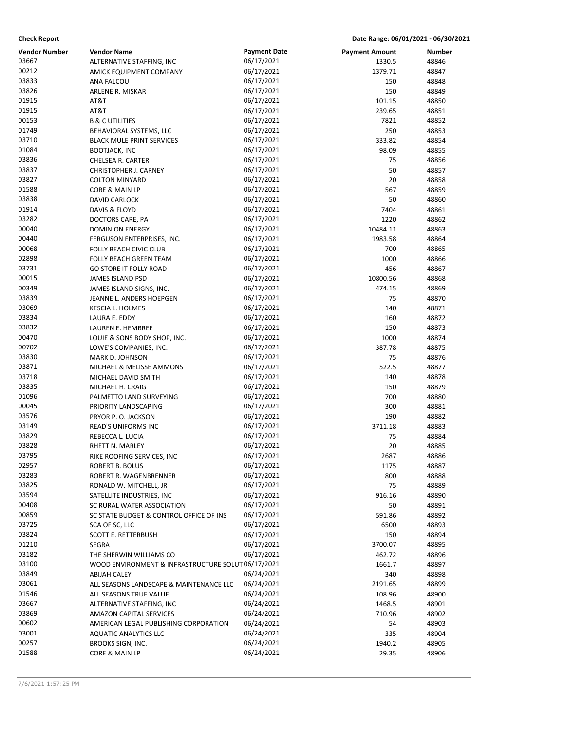| <b>Check Report</b> | Date Range: 06/01/2021 - 06/30/2021 |  |
|---------------------|-------------------------------------|--|
|                     |                                     |  |

| <b>Vendor Number</b> | <b>Vendor Name</b>                                                            | <b>Payment Date</b> | <b>Payment Amount</b> | <b>Number</b> |
|----------------------|-------------------------------------------------------------------------------|---------------------|-----------------------|---------------|
| 03667                | ALTERNATIVE STAFFING, INC                                                     | 06/17/2021          | 1330.5                | 48846         |
| 00212                | AMICK EQUIPMENT COMPANY                                                       | 06/17/2021          | 1379.71               | 48847         |
| 03833                | ANA FALCOU                                                                    | 06/17/2021          | 150                   | 48848         |
| 03826                | ARLENE R. MISKAR                                                              | 06/17/2021          | 150                   | 48849         |
| 01915                | AT&T                                                                          | 06/17/2021          | 101.15                | 48850         |
| 01915                | AT&T                                                                          | 06/17/2021          | 239.65                | 48851         |
| 00153                | <b>B &amp; C UTILITIES</b>                                                    | 06/17/2021          | 7821                  | 48852         |
| 01749                | BEHAVIORAL SYSTEMS, LLC                                                       | 06/17/2021          | 250                   | 48853         |
| 03710                | <b>BLACK MULE PRINT SERVICES</b>                                              | 06/17/2021          | 333.82                | 48854         |
| 01084                | <b>BOOTJACK, INC</b>                                                          | 06/17/2021          | 98.09                 | 48855         |
| 03836                | CHELSEA R. CARTER                                                             | 06/17/2021          | 75                    | 48856         |
| 03837                | CHRISTOPHER J. CARNEY                                                         | 06/17/2021          | 50                    | 48857         |
| 03827                | <b>COLTON MINYARD</b>                                                         | 06/17/2021          | 20                    | 48858         |
| 01588                | CORE & MAIN LP                                                                | 06/17/2021          | 567                   | 48859         |
| 03838                | DAVID CARLOCK                                                                 | 06/17/2021          | 50                    | 48860         |
| 01914                | DAVIS & FLOYD                                                                 | 06/17/2021          | 7404                  | 48861         |
| 03282                | DOCTORS CARE, PA                                                              | 06/17/2021          | 1220                  | 48862         |
| 00040                | <b>DOMINION ENERGY</b>                                                        | 06/17/2021          | 10484.11              | 48863         |
| 00440                | FERGUSON ENTERPRISES, INC.                                                    | 06/17/2021          | 1983.58               | 48864         |
| 00068                | FOLLY BEACH CIVIC CLUB                                                        | 06/17/2021          | 700                   | 48865         |
| 02898                | FOLLY BEACH GREEN TEAM                                                        | 06/17/2021          | 1000                  | 48866         |
| 03731                | <b>GO STORE IT FOLLY ROAD</b>                                                 | 06/17/2021          | 456                   | 48867         |
| 00015                | JAMES ISLAND PSD                                                              | 06/17/2021          | 10800.56              | 48868         |
| 00349                | JAMES ISLAND SIGNS, INC.                                                      | 06/17/2021          | 474.15                | 48869         |
| 03839                | JEANNE L. ANDERS HOEPGEN                                                      | 06/17/2021          | 75                    | 48870         |
| 03069                | KESCIA L. HOLMES                                                              | 06/17/2021          | 140                   | 48871         |
| 03834                | LAURA E. EDDY                                                                 | 06/17/2021          | 160                   | 48872         |
| 03832                | LAUREN E. HEMBREE                                                             | 06/17/2021          | 150                   | 48873         |
| 00470                | LOUIE & SONS BODY SHOP, INC.                                                  | 06/17/2021          | 1000                  | 48874         |
| 00702                | LOWE'S COMPANIES, INC.                                                        | 06/17/2021          | 387.78                | 48875         |
| 03830                | MARK D. JOHNSON                                                               | 06/17/2021          | 75                    | 48876         |
| 03871                | MICHAEL & MELISSE AMMONS                                                      | 06/17/2021          | 522.5                 | 48877         |
| 03718                | MICHAEL DAVID SMITH                                                           | 06/17/2021          | 140                   | 48878         |
| 03835                | MICHAEL H. CRAIG                                                              | 06/17/2021          | 150                   | 48879         |
| 01096                | PALMETTO LAND SURVEYING                                                       | 06/17/2021          | 700                   | 48880         |
| 00045                | PRIORITY LANDSCAPING                                                          | 06/17/2021          | 300                   | 48881         |
| 03576                | PRYOR P.O. JACKSON                                                            | 06/17/2021          | 190                   | 48882         |
| 03149                | READ'S UNIFORMS INC                                                           | 06/17/2021          | 3711.18               | 48883         |
| 03829                | REBECCA L. LUCIA                                                              | 06/17/2021          | 75                    | 48884         |
| 03828                | RHETT N. MARLEY                                                               | 06/17/2021          | 20                    | 48885         |
| 03795                | RIKE ROOFING SERVICES, INC                                                    | 06/17/2021          | 2687                  | 48886         |
| 02957                | ROBERT B. BOLUS                                                               | 06/17/2021          | 1175                  | 48887         |
| 03283                | ROBERT R. WAGENBRENNER                                                        | 06/17/2021          | 800                   | 48888         |
| 03825                | RONALD W. MITCHELL, JR                                                        | 06/17/2021          | 75                    | 48889         |
| 03594                | SATELLITE INDUSTRIES, INC                                                     | 06/17/2021          | 916.16                | 48890         |
| 00408                | SC RURAL WATER ASSOCIATION                                                    | 06/17/2021          | 50                    | 48891         |
| 00859                | SC STATE BUDGET & CONTROL OFFICE OF INS                                       | 06/17/2021          | 591.86                | 48892         |
| 03725                |                                                                               | 06/17/2021          | 6500                  | 48893         |
| 03824                | SCA OF SC, LLC<br>SCOTT E. RETTERBUSH                                         | 06/17/2021          | 150                   | 48894         |
| 01210                |                                                                               | 06/17/2021          | 3700.07               |               |
| 03182                | SEGRA                                                                         |                     |                       | 48895         |
| 03100                | THE SHERWIN WILLIAMS CO<br>WOOD ENVIRONMENT & INFRASTRUCTURE SOLUT 06/17/2021 | 06/17/2021          | 462.72                | 48896         |
| 03849                |                                                                               |                     | 1661.7                | 48897         |
|                      | <b>ABIJAH CALEY</b>                                                           | 06/24/2021          | 340                   | 48898         |
| 03061                | ALL SEASONS LANDSCAPE & MAINTENANCE LLC                                       | 06/24/2021          | 2191.65               | 48899         |
| 01546                | ALL SEASONS TRUE VALUE                                                        | 06/24/2021          | 108.96                | 48900         |
| 03667                | ALTERNATIVE STAFFING, INC                                                     | 06/24/2021          | 1468.5                | 48901         |
| 03869                | <b>AMAZON CAPITAL SERVICES</b>                                                | 06/24/2021          | 710.96                | 48902         |
| 00602                | AMERICAN LEGAL PUBLISHING CORPORATION                                         | 06/24/2021          | 54                    | 48903         |
| 03001                | <b>AQUATIC ANALYTICS LLC</b>                                                  | 06/24/2021          | 335                   | 48904         |
| 00257                | <b>BROOKS SIGN, INC.</b>                                                      | 06/24/2021          | 1940.2                | 48905         |
| 01588                | CORE & MAIN LP                                                                | 06/24/2021          | 29.35                 | 48906         |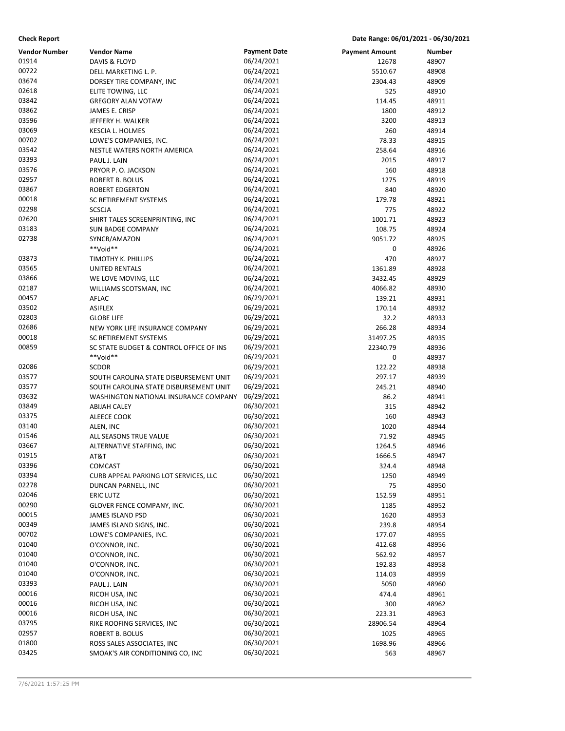| <b>Check Report</b> | Date Range: 06/01/2021 - 06/30/2021 |  |
|---------------------|-------------------------------------|--|
|                     |                                     |  |

| <b>Vendor Number</b><br>01914 | <b>Vendor Name</b>                      | <b>Payment Date</b><br>06/24/2021 | <b>Payment Amount</b><br>12678 | <b>Number</b><br>48907 |
|-------------------------------|-----------------------------------------|-----------------------------------|--------------------------------|------------------------|
| 00722                         | DAVIS & FLOYD                           | 06/24/2021                        |                                |                        |
|                               | DELL MARKETING L. P.                    |                                   | 5510.67                        | 48908                  |
| 03674<br>02618                | DORSEY TIRE COMPANY, INC                | 06/24/2021<br>06/24/2021          | 2304.43                        | 48909                  |
|                               | ELITE TOWING, LLC                       |                                   | 525                            | 48910                  |
| 03842                         | <b>GREGORY ALAN VOTAW</b>               | 06/24/2021                        | 114.45                         | 48911                  |
| 03862                         | JAMES E. CRISP                          | 06/24/2021                        | 1800                           | 48912                  |
| 03596                         | JEFFERY H. WALKER                       | 06/24/2021                        | 3200                           | 48913                  |
| 03069                         | KESCIA L. HOLMES                        | 06/24/2021                        | 260                            | 48914                  |
| 00702                         | LOWE'S COMPANIES, INC.                  | 06/24/2021                        | 78.33                          | 48915                  |
| 03542                         | NESTLE WATERS NORTH AMERICA             | 06/24/2021                        | 258.64                         | 48916                  |
| 03393                         | PAUL J. LAIN                            | 06/24/2021                        | 2015                           | 48917                  |
| 03576                         | PRYOR P.O. JACKSON                      | 06/24/2021                        | 160                            | 48918                  |
| 02957                         | <b>ROBERT B. BOLUS</b>                  | 06/24/2021                        | 1275                           | 48919                  |
| 03867                         | <b>ROBERT EDGERTON</b>                  | 06/24/2021                        | 840                            | 48920                  |
| 00018                         | SC RETIREMENT SYSTEMS                   | 06/24/2021                        | 179.78                         | 48921                  |
| 02298                         | <b>SCSCJA</b>                           | 06/24/2021                        | 775                            | 48922                  |
| 02620                         | SHIRT TALES SCREENPRINTING, INC         | 06/24/2021                        | 1001.71                        | 48923                  |
| 03183                         | <b>SUN BADGE COMPANY</b>                | 06/24/2021                        | 108.75                         | 48924                  |
| 02738                         | SYNCB/AMAZON                            | 06/24/2021                        | 9051.72                        | 48925                  |
|                               | **Void**                                | 06/24/2021                        | 0                              | 48926                  |
| 03873                         | TIMOTHY K. PHILLIPS                     | 06/24/2021                        | 470                            | 48927                  |
| 03565                         | <b>UNITED RENTALS</b>                   | 06/24/2021                        | 1361.89                        | 48928                  |
| 03866                         | WE LOVE MOVING, LLC                     | 06/24/2021                        | 3432.45                        | 48929                  |
| 02187                         | WILLIAMS SCOTSMAN, INC                  | 06/24/2021                        | 4066.82                        | 48930                  |
| 00457                         | AFLAC                                   | 06/29/2021                        | 139.21                         | 48931                  |
| 03502                         | <b>ASIFLEX</b>                          | 06/29/2021                        | 170.14                         | 48932                  |
| 02803                         | <b>GLOBE LIFE</b>                       | 06/29/2021                        | 32.2                           | 48933                  |
| 02686                         | NEW YORK LIFE INSURANCE COMPANY         | 06/29/2021                        | 266.28                         | 48934                  |
| 00018                         | SC RETIREMENT SYSTEMS                   | 06/29/2021                        | 31497.25                       | 48935                  |
| 00859                         | SC STATE BUDGET & CONTROL OFFICE OF INS | 06/29/2021                        | 22340.79                       | 48936                  |
|                               | **Void**                                | 06/29/2021                        | 0                              | 48937                  |
| 02086                         | <b>SCDOR</b>                            | 06/29/2021                        | 122.22                         | 48938                  |
| 03577                         | SOUTH CAROLINA STATE DISBURSEMENT UNIT  | 06/29/2021                        | 297.17                         | 48939                  |
| 03577                         | SOUTH CAROLINA STATE DISBURSEMENT UNIT  | 06/29/2021                        | 245.21                         | 48940                  |
| 03632                         | WASHINGTON NATIONAL INSURANCE COMPANY   | 06/29/2021                        | 86.2                           | 48941                  |
| 03849                         | <b>ABIJAH CALEY</b>                     | 06/30/2021                        | 315                            | 48942                  |
| 03375                         | ALEECE COOK                             | 06/30/2021                        | 160                            | 48943                  |
| 03140                         | ALEN, INC                               | 06/30/2021                        | 1020                           | 48944                  |
| 01546                         | ALL SEASONS TRUE VALUE                  | 06/30/2021                        | 71.92                          | 48945                  |
| 03667                         | ALTERNATIVE STAFFING, INC               | 06/30/2021                        | 1264.5                         | 48946                  |
| 01915                         | AT&T                                    | 06/30/2021                        | 1666.5                         | 48947                  |
| 03396                         | <b>COMCAST</b>                          | 06/30/2021                        | 324.4                          | 48948                  |
| 03394                         | CURB APPEAL PARKING LOT SERVICES, LLC   | 06/30/2021                        | 1250                           | 48949                  |
| 02278                         | DUNCAN PARNELL, INC                     | 06/30/2021                        | 75                             | 48950                  |
| 02046                         | <b>ERIC LUTZ</b>                        | 06/30/2021                        | 152.59                         | 48951                  |
| 00290                         | GLOVER FENCE COMPANY, INC.              | 06/30/2021                        | 1185                           | 48952                  |
| 00015                         | JAMES ISLAND PSD                        | 06/30/2021                        | 1620                           | 48953                  |
| 00349                         | JAMES ISLAND SIGNS, INC.                | 06/30/2021                        | 239.8                          | 48954                  |
| 00702                         |                                         | 06/30/2021                        |                                |                        |
| 01040                         | LOWE'S COMPANIES, INC.                  | 06/30/2021                        | 177.07                         | 48955                  |
| 01040                         | O'CONNOR, INC.                          | 06/30/2021                        | 412.68                         | 48956                  |
|                               | O'CONNOR, INC.                          | 06/30/2021                        | 562.92                         | 48957                  |
| 01040                         | O'CONNOR, INC.                          |                                   | 192.83                         | 48958                  |
| 01040                         | O'CONNOR, INC.                          | 06/30/2021                        | 114.03                         | 48959                  |
| 03393                         | PAUL J. LAIN                            | 06/30/2021                        | 5050                           | 48960                  |
| 00016                         | RICOH USA, INC                          | 06/30/2021                        | 474.4                          | 48961                  |
| 00016                         | RICOH USA, INC                          | 06/30/2021                        | 300                            | 48962                  |
| 00016                         | RICOH USA, INC                          | 06/30/2021                        | 223.31                         | 48963                  |
| 03795                         | RIKE ROOFING SERVICES, INC              | 06/30/2021                        | 28906.54                       | 48964                  |
| 02957                         | ROBERT B. BOLUS                         | 06/30/2021                        | 1025                           | 48965                  |
| 01800                         | ROSS SALES ASSOCIATES, INC              | 06/30/2021                        | 1698.96                        | 48966                  |
| 03425                         | SMOAK'S AIR CONDITIONING CO, INC        | 06/30/2021                        | 563                            | 48967                  |